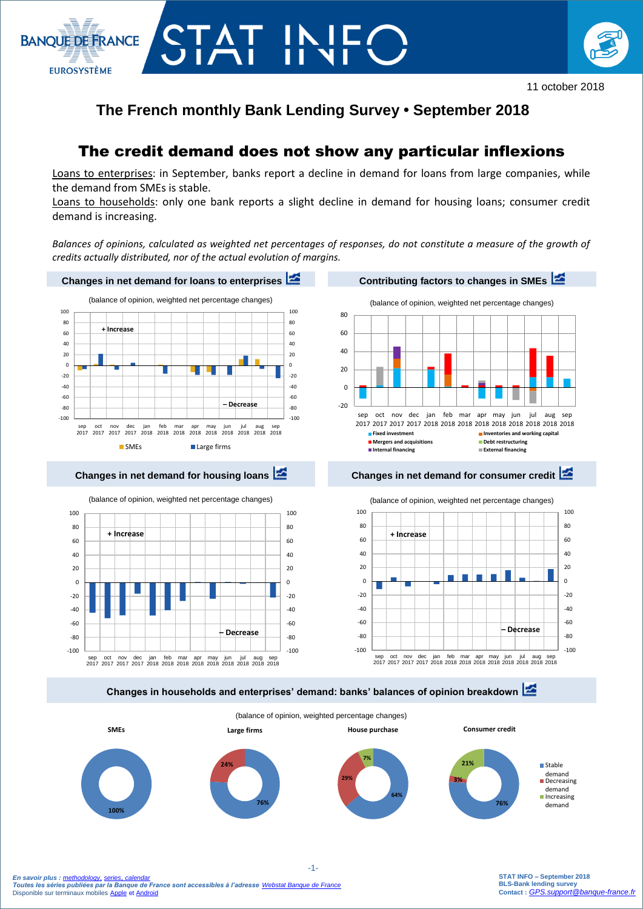



# **The French monthly Bank Lending Survey • September 2018**

# The credit demand does not show any particular inflexions

Loans to enterprises: in September, banks report a decline in demand for loans from large companies, while the demand from SMEs is stable.

Loans to households: only one bank reports a slight decline in demand for housing loans; consumer credit demand is increasing.

*Balances of opinions, calculated as weighted net percentages of responses, do not constitute a measure of the growth of credits actually distributed, nor of the actual evolution of margins.* 



**Changes in households and enterprises' demand: banks' balances of opinion breakdown**